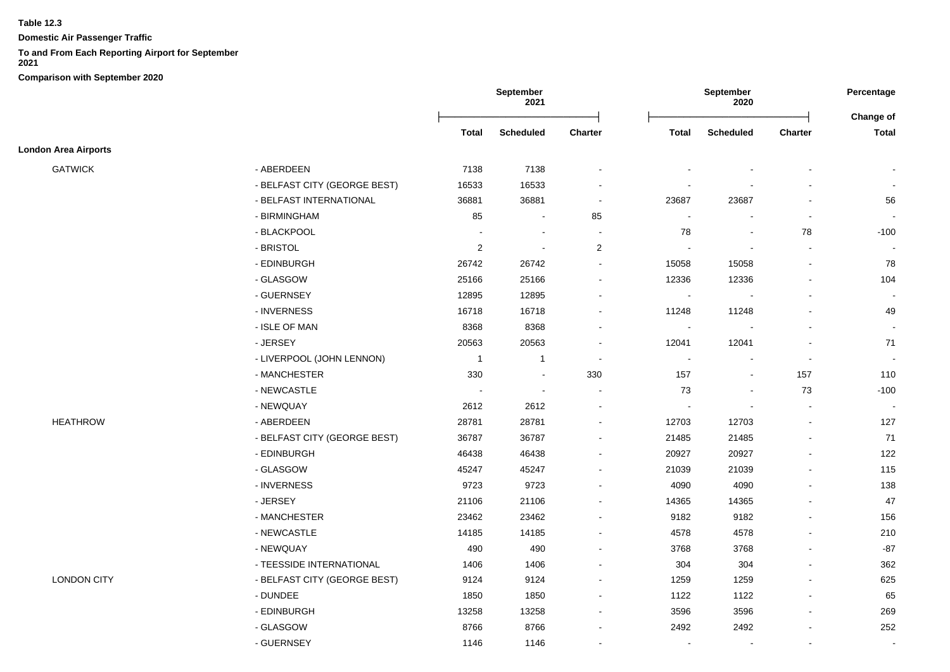**Domestic Air Passenger Traffic**

# **To and From Each Reporting Airport for September**

|                             |                              | September<br>2021 |                          |                          | September<br>2020 |                          |                          |                          |
|-----------------------------|------------------------------|-------------------|--------------------------|--------------------------|-------------------|--------------------------|--------------------------|--------------------------|
|                             |                              | <b>Total</b>      | <b>Scheduled</b>         | <b>Charter</b>           | <b>Total</b>      | <b>Scheduled</b>         | <b>Charter</b>           | Change of<br>Total       |
| <b>London Area Airports</b> |                              |                   |                          |                          |                   |                          |                          |                          |
| <b>GATWICK</b>              | - ABERDEEN                   | 7138              | 7138                     |                          |                   |                          |                          |                          |
|                             | - BELFAST CITY (GEORGE BEST) | 16533             | 16533                    |                          |                   |                          |                          |                          |
|                             | - BELFAST INTERNATIONAL      | 36881             | 36881                    | $\blacksquare$           | 23687             | 23687                    |                          | 56                       |
|                             | - BIRMINGHAM                 | 85                | $\blacksquare$           | 85                       | $\blacksquare$    | $\blacksquare$           | $\blacksquare$           | $\sim$                   |
|                             | - BLACKPOOL                  | ÷.                | $\sim$                   | ÷.                       | 78                | $\sim$                   | 78                       | $-100$                   |
|                             | - BRISTOL                    | $\overline{2}$    | $\sim$                   | $\overline{2}$           | $\mathbf{r}$      | $\overline{\phantom{a}}$ | $\sim$                   |                          |
|                             | - EDINBURGH                  | 26742             | 26742                    |                          | 15058             | 15058                    |                          | 78                       |
|                             | - GLASGOW                    | 25166             | 25166                    | $\overline{\phantom{a}}$ | 12336             | 12336                    |                          | 104                      |
|                             | - GUERNSEY                   | 12895             | 12895                    |                          | $\blacksquare$    |                          |                          |                          |
|                             | - INVERNESS                  | 16718             | 16718                    | $\overline{a}$           | 11248             | 11248                    |                          | 49                       |
|                             | - ISLE OF MAN                | 8368              | 8368                     | $\blacksquare$           | $\blacksquare$    |                          |                          | $\sim$                   |
|                             | - JERSEY                     | 20563             | 20563                    | $\blacksquare$           | 12041             | 12041                    |                          | 71                       |
|                             | - LIVERPOOL (JOHN LENNON)    | $\mathbf{1}$      | $\mathbf{1}$             | $\overline{\phantom{a}}$ | $\blacksquare$    | $\overline{\phantom{a}}$ | $\blacksquare$           | $\overline{\phantom{a}}$ |
|                             | - MANCHESTER                 | 330               | $\blacksquare$           | 330                      | 157               | $\blacksquare$           | 157                      | 110                      |
|                             | - NEWCASTLE                  | ÷,                | $\overline{\phantom{a}}$ | ÷.                       | 73                | $\sim$                   | 73                       | $-100$                   |
|                             | - NEWQUAY                    | 2612              | 2612                     | $\overline{\phantom{a}}$ | $\mathbf{r}$      | $\sim$                   | $\overline{\phantom{a}}$ | $\sim$                   |
| <b>HEATHROW</b>             | - ABERDEEN                   | 28781             | 28781                    |                          | 12703             | 12703                    | $\blacksquare$           | 127                      |
|                             | - BELFAST CITY (GEORGE BEST) | 36787             | 36787                    | $\blacksquare$           | 21485             | 21485                    |                          | 71                       |
|                             | - EDINBURGH                  | 46438             | 46438                    | $\overline{a}$           | 20927             | 20927                    |                          | 122                      |
|                             | - GLASGOW                    | 45247             | 45247                    | $\blacksquare$           | 21039             | 21039                    |                          | 115                      |
|                             | - INVERNESS                  | 9723              | 9723                     | $\overline{\phantom{a}}$ | 4090              | 4090                     |                          | 138                      |
|                             | - JERSEY                     | 21106             | 21106                    | $\overline{\phantom{a}}$ | 14365             | 14365                    |                          | 47                       |
|                             | - MANCHESTER                 | 23462             | 23462                    | $\overline{a}$           | 9182              | 9182                     | $\overline{\phantom{a}}$ | 156                      |
|                             | - NEWCASTLE                  | 14185             | 14185                    |                          | 4578              | 4578                     |                          | 210                      |
|                             | - NEWQUAY                    | 490               | 490                      |                          | 3768              | 3768                     |                          | $-87$                    |
|                             | - TEESSIDE INTERNATIONAL     | 1406              | 1406                     |                          | 304               | 304                      |                          | 362                      |
| <b>LONDON CITY</b>          | - BELFAST CITY (GEORGE BEST) | 9124              | 9124                     |                          | 1259              | 1259                     |                          | 625                      |
|                             | - DUNDEE                     | 1850              | 1850                     |                          | 1122              | 1122                     |                          | 65                       |
|                             | - EDINBURGH                  | 13258             | 13258                    |                          | 3596              | 3596                     |                          | 269                      |
|                             | - GLASGOW                    | 8766              | 8766                     | $\overline{\phantom{a}}$ | 2492              | 2492                     |                          | 252                      |
|                             | - GUERNSEY                   | 1146              | 1146                     | $\overline{a}$           | $\blacksquare$    | $\overline{\phantom{a}}$ |                          | $\sim$                   |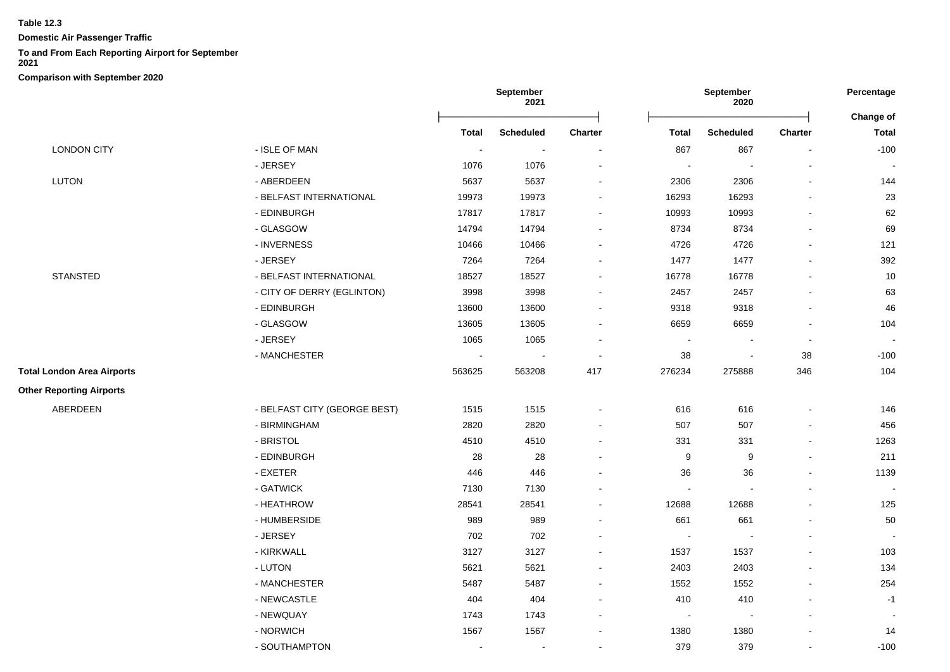**Domestic Air Passenger Traffic**

# **To and From Each Reporting Airport for September**

**2021**

|                                   |                              | September<br>2021 |                          |                          | September<br>2020        |                  |                          | Percentage               |
|-----------------------------------|------------------------------|-------------------|--------------------------|--------------------------|--------------------------|------------------|--------------------------|--------------------------|
|                                   |                              |                   |                          |                          |                          |                  |                          | Change of                |
|                                   |                              | <b>Total</b>      | <b>Scheduled</b>         | <b>Charter</b>           | <b>Total</b>             | <b>Scheduled</b> | <b>Charter</b>           | <b>Total</b>             |
| <b>LONDON CITY</b>                | - ISLE OF MAN                |                   | $\overline{\phantom{a}}$ | $\blacksquare$           | 867                      | 867              |                          | $-100$                   |
|                                   | - JERSEY                     | 1076              | 1076                     |                          | $\blacksquare$           |                  | ÷,                       | $\blacksquare$           |
| LUTON                             | - ABERDEEN                   | 5637              | 5637                     | $\overline{\phantom{a}}$ | 2306                     | 2306             | $\blacksquare$           | 144                      |
|                                   | - BELFAST INTERNATIONAL      | 19973             | 19973                    | $\overline{\phantom{a}}$ | 16293                    | 16293            | $\overline{a}$           | 23                       |
|                                   | - EDINBURGH                  | 17817             | 17817                    | $\blacksquare$           | 10993                    | 10993            | $\blacksquare$           | 62                       |
|                                   | - GLASGOW                    | 14794             | 14794                    | $\sim$                   | 8734                     | 8734             | $\blacksquare$           | 69                       |
|                                   | - INVERNESS                  | 10466             | 10466                    | $\overline{\phantom{a}}$ | 4726                     | 4726             | $\blacksquare$           | 121                      |
|                                   | - JERSEY                     | 7264              | 7264                     | $\blacksquare$           | 1477                     | 1477             |                          | 392                      |
| <b>STANSTED</b>                   | - BELFAST INTERNATIONAL      | 18527             | 18527                    | $\sim$                   | 16778                    | 16778            |                          | 10                       |
|                                   | - CITY OF DERRY (EGLINTON)   | 3998              | 3998                     | $\blacksquare$           | 2457                     | 2457             |                          | 63                       |
|                                   | - EDINBURGH                  | 13600             | 13600                    |                          | 9318                     | 9318             |                          | 46                       |
|                                   | - GLASGOW                    | 13605             | 13605                    |                          | 6659                     | 6659             |                          | 104                      |
|                                   | - JERSEY                     | 1065              | 1065                     |                          | $\overline{\phantom{a}}$ |                  | $\overline{\phantom{a}}$ | $\overline{\phantom{a}}$ |
|                                   | - MANCHESTER                 | $\blacksquare$    |                          | $\blacksquare$           | 38                       |                  | 38                       | $-100$                   |
| <b>Total London Area Airports</b> |                              | 563625            | 563208                   | 417                      | 276234                   | 275888           | 346                      | 104                      |
| <b>Other Reporting Airports</b>   |                              |                   |                          |                          |                          |                  |                          |                          |
| ABERDEEN                          | - BELFAST CITY (GEORGE BEST) | 1515              | 1515                     | $\overline{\phantom{a}}$ | 616                      | 616              | L,                       | 146                      |
|                                   | - BIRMINGHAM                 | 2820              | 2820                     |                          | 507                      | 507              | $\blacksquare$           | 456                      |
|                                   | - BRISTOL                    | 4510              | 4510                     | $\overline{\phantom{a}}$ | 331                      | 331              | $\blacksquare$           | 1263                     |
|                                   | - EDINBURGH                  | 28                | 28                       | $\blacksquare$           | 9                        | 9                | $\blacksquare$           | 211                      |
|                                   | $-$ EXETER                   | 446               | 446                      | $\overline{\phantom{a}}$ | 36                       | 36               | $\blacksquare$           | 1139                     |
|                                   | - GATWICK                    | 7130              | 7130                     | $\sim$                   | $\blacksquare$           |                  |                          |                          |
|                                   | - HEATHROW                   | 28541             | 28541                    |                          | 12688                    | 12688            |                          | 125                      |
|                                   | - HUMBERSIDE                 | 989               | 989                      |                          | 661                      | 661              |                          | 50                       |
|                                   | - JERSEY                     | 702               | 702                      | $\blacksquare$           | $\sim$                   |                  | $\blacksquare$           |                          |
|                                   | - KIRKWALL                   | 3127              | 3127                     | $\blacksquare$           | 1537                     | 1537             | $\blacksquare$           | 103                      |
|                                   | - LUTON                      | 5621              | 5621                     | $\sim$                   | 2403                     | 2403             | $\blacksquare$           | 134                      |
|                                   | - MANCHESTER                 | 5487              | 5487                     |                          | 1552                     | 1552             |                          | 254                      |
|                                   | - NEWCASTLE                  | 404               | 404                      | $\overline{\phantom{a}}$ | 410                      | 410              | $\blacksquare$           | $-1$                     |
|                                   | - NEWQUAY                    | 1743              | 1743                     | $\blacksquare$           | $\blacksquare$           | $\blacksquare$   | $\blacksquare$           |                          |
|                                   | - NORWICH                    | 1567              | 1567                     | $\overline{\phantom{a}}$ | 1380                     | 1380             |                          | 14                       |
|                                   | - SOUTHAMPTON                | $\blacksquare$    | $\blacksquare$           | $\overline{\phantom{a}}$ | 379                      | 379              | $\blacksquare$           | $-100$                   |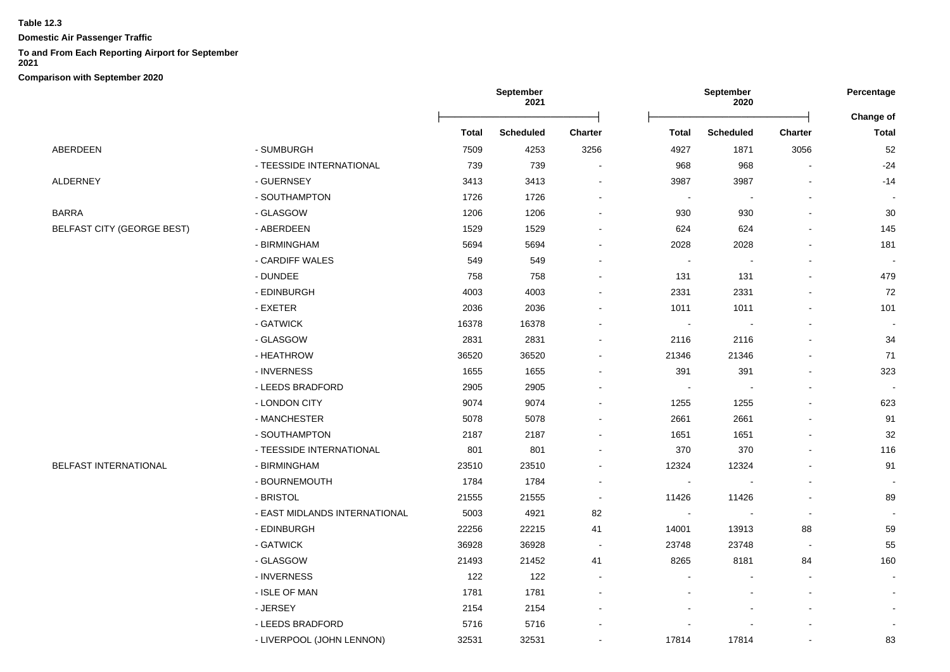**Domestic Air Passenger Traffic**

# **To and From Each Reporting Airport for September**

**2021**

|                                   |                               |              | September<br>2021 |                          |                          | September<br>2020 |                | Percentage                       |
|-----------------------------------|-------------------------------|--------------|-------------------|--------------------------|--------------------------|-------------------|----------------|----------------------------------|
|                                   |                               | <b>Total</b> | <b>Scheduled</b>  | <b>Charter</b>           | <b>Total</b>             | <b>Scheduled</b>  | <b>Charter</b> | <b>Change of</b><br><b>Total</b> |
| ABERDEEN                          | - SUMBURGH                    | 7509         | 4253              | 3256                     | 4927                     | 1871              | 3056           | 52                               |
|                                   | - TEESSIDE INTERNATIONAL      | 739          | 739               |                          | 968                      | 968               |                | $-24$                            |
| ALDERNEY                          | - GUERNSEY                    | 3413         | 3413              |                          | 3987                     | 3987              |                | $-14$                            |
|                                   | - SOUTHAMPTON                 | 1726         | 1726              |                          | ÷,                       |                   |                |                                  |
| <b>BARRA</b>                      | - GLASGOW                     | 1206         | 1206              |                          | 930                      | 930               |                | 30                               |
| <b>BELFAST CITY (GEORGE BEST)</b> | - ABERDEEN                    | 1529         | 1529              |                          | 624                      | 624               |                | 145                              |
|                                   | - BIRMINGHAM                  | 5694         | 5694              |                          | 2028                     | 2028              |                | 181                              |
|                                   | - CARDIFF WALES               | 549          | 549               |                          | ÷,                       |                   |                |                                  |
|                                   | - DUNDEE                      | 758          | 758               |                          | 131                      | 131               |                | 479                              |
|                                   | - EDINBURGH                   | 4003         | 4003              |                          | 2331                     | 2331              |                | 72                               |
|                                   | - EXETER                      | 2036         | 2036              |                          | 1011                     | 1011              |                | 101                              |
|                                   | - GATWICK                     | 16378        | 16378             |                          | $\overline{\phantom{a}}$ |                   |                |                                  |
|                                   | - GLASGOW                     | 2831         | 2831              |                          | 2116                     | 2116              |                | 34                               |
|                                   | - HEATHROW                    | 36520        | 36520             |                          | 21346                    | 21346             |                | 71                               |
|                                   | - INVERNESS                   | 1655         | 1655              |                          | 391                      | 391               |                | 323                              |
|                                   | - LEEDS BRADFORD              | 2905         | 2905              | $\overline{a}$           | $\sim$                   |                   |                |                                  |
|                                   | - LONDON CITY                 | 9074         | 9074              |                          | 1255                     | 1255              |                | 623                              |
|                                   | - MANCHESTER                  | 5078         | 5078              |                          | 2661                     | 2661              |                | 91                               |
|                                   | - SOUTHAMPTON                 | 2187         | 2187              |                          | 1651                     | 1651              |                | 32                               |
|                                   | - TEESSIDE INTERNATIONAL      | 801          | 801               |                          | 370                      | 370               |                | 116                              |
| <b>BELFAST INTERNATIONAL</b>      | - BIRMINGHAM                  | 23510        | 23510             |                          | 12324                    | 12324             |                | 91                               |
|                                   | - BOURNEMOUTH                 | 1784         | 1784              |                          | $\blacksquare$           |                   |                |                                  |
|                                   | - BRISTOL                     | 21555        | 21555             | $\blacksquare$           | 11426                    | 11426             |                | 89                               |
|                                   | - EAST MIDLANDS INTERNATIONAL | 5003         | 4921              | 82                       | $\sim$                   |                   |                |                                  |
|                                   | - EDINBURGH                   | 22256        | 22215             | 41                       | 14001                    | 13913             | 88             | 59                               |
|                                   | - GATWICK                     | 36928        | 36928             |                          | 23748                    | 23748             |                | 55                               |
|                                   | - GLASGOW                     | 21493        | 21452             | 41                       | 8265                     | 8181              | 84             | 160                              |
|                                   | - INVERNESS                   | 122          | 122               | $\overline{\phantom{a}}$ |                          |                   |                |                                  |
|                                   | - ISLE OF MAN                 | 1781         | 1781              | $\blacksquare$           |                          |                   |                |                                  |
|                                   | - JERSEY                      | 2154         | 2154              |                          |                          |                   |                |                                  |
|                                   | - LEEDS BRADFORD              | 5716         | 5716              |                          |                          |                   |                |                                  |
|                                   | - LIVERPOOL (JOHN LENNON)     | 32531        | 32531             |                          | 17814                    | 17814             |                | 83                               |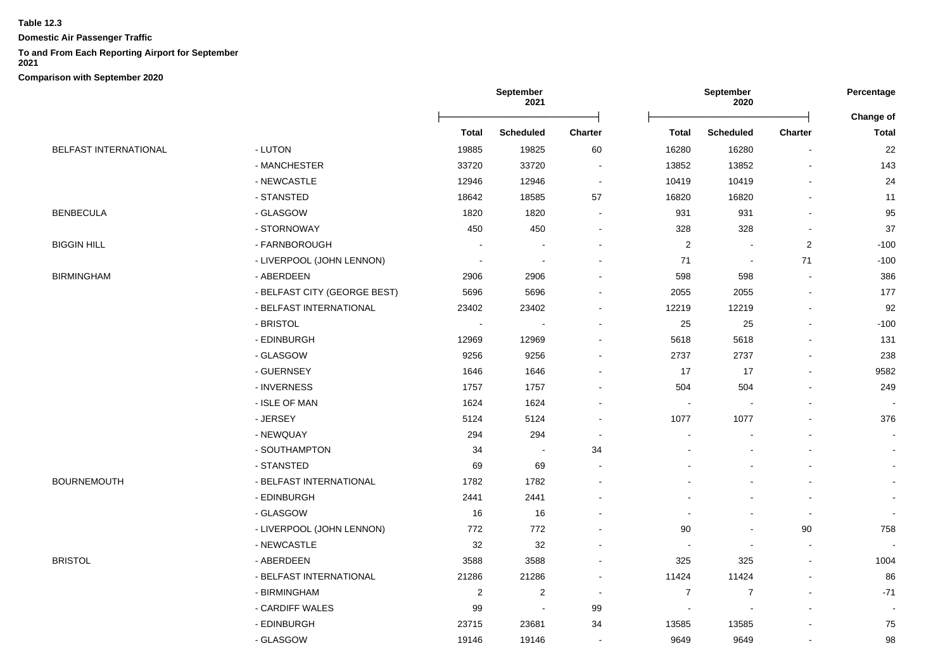**Domestic Air Passenger Traffic**

# **To and From Each Reporting Airport for September**

**2021**

|                              |                              | <b>September</b><br>2021 |                          | <b>September</b><br>2020 |                          |                          | Percentage     |                           |
|------------------------------|------------------------------|--------------------------|--------------------------|--------------------------|--------------------------|--------------------------|----------------|---------------------------|
|                              |                              | <b>Total</b>             | <b>Scheduled</b>         | Charter                  | <b>Total</b>             | <b>Scheduled</b>         | Charter        | Change of<br><b>Total</b> |
| <b>BELFAST INTERNATIONAL</b> | - LUTON                      | 19885                    | 19825                    | 60                       | 16280                    | 16280                    |                | 22                        |
|                              | - MANCHESTER                 | 33720                    | 33720                    |                          | 13852                    | 13852                    |                | 143                       |
|                              | - NEWCASTLE                  | 12946                    | 12946                    |                          | 10419                    | 10419                    |                | 24                        |
|                              | - STANSTED                   | 18642                    | 18585                    | 57                       | 16820                    | 16820                    |                | 11                        |
| <b>BENBECULA</b>             | - GLASGOW                    | 1820                     | 1820                     |                          | 931                      | 931                      |                | 95                        |
|                              | - STORNOWAY                  | 450                      | 450                      |                          | 328                      | 328                      |                | 37                        |
| <b>BIGGIN HILL</b>           | - FARNBOROUGH                | $\overline{\phantom{a}}$ | $\blacksquare$           |                          | $\sqrt{2}$               | $\blacksquare$           | $\overline{c}$ | $-100$                    |
|                              | - LIVERPOOL (JOHN LENNON)    | $\sim$                   | ÷                        |                          | 71                       | $\overline{\phantom{a}}$ | 71             | $-100$                    |
| <b>BIRMINGHAM</b>            | - ABERDEEN                   | 2906                     | 2906                     |                          | 598                      | 598                      |                | 386                       |
|                              | - BELFAST CITY (GEORGE BEST) | 5696                     | 5696                     |                          | 2055                     | 2055                     |                | 177                       |
|                              | - BELFAST INTERNATIONAL      | 23402                    | 23402                    |                          | 12219                    | 12219                    | $\blacksquare$ | 92                        |
|                              | - BRISTOL                    | $\overline{\phantom{a}}$ |                          |                          | 25                       | 25                       |                | $-100$                    |
|                              | - EDINBURGH                  | 12969                    | 12969                    |                          | 5618                     | 5618                     |                | 131                       |
|                              | - GLASGOW                    | 9256                     | 9256                     |                          | 2737                     | 2737                     | $\blacksquare$ | 238                       |
|                              | - GUERNSEY                   | 1646                     | 1646                     |                          | 17                       | 17                       | $\mathbf{r}$   | 9582                      |
|                              | - INVERNESS                  | 1757                     | 1757                     |                          | 504                      | 504                      |                | 249                       |
|                              | - ISLE OF MAN                | 1624                     | 1624                     |                          | $\overline{\phantom{a}}$ |                          |                |                           |
|                              | - JERSEY                     | 5124                     | 5124                     |                          | 1077                     | 1077                     |                | 376                       |
|                              | - NEWQUAY                    | 294                      | 294                      |                          | $\blacksquare$           |                          | $\blacksquare$ |                           |
|                              | - SOUTHAMPTON                | 34                       | $\sim$                   | 34                       |                          |                          |                |                           |
|                              | - STANSTED                   | 69                       | 69                       |                          |                          |                          |                |                           |
| BOURNEMOUTH                  | - BELFAST INTERNATIONAL      | 1782                     | 1782                     |                          |                          |                          |                |                           |
|                              | - EDINBURGH                  | 2441                     | 2441                     |                          |                          |                          |                |                           |
|                              | - GLASGOW                    | 16                       | 16                       |                          |                          |                          | $\overline{a}$ |                           |
|                              | - LIVERPOOL (JOHN LENNON)    | 772                      | 772                      |                          | 90                       |                          | 90             | 758                       |
|                              | - NEWCASTLE                  | 32                       | 32                       |                          |                          |                          |                |                           |
| <b>BRISTOL</b>               | - ABERDEEN                   | 3588                     | 3588                     |                          | 325                      | 325                      | $\blacksquare$ | 1004                      |
|                              | - BELFAST INTERNATIONAL      | 21286                    | 21286                    |                          | 11424                    | 11424                    | $\blacksquare$ | 86                        |
|                              | - BIRMINGHAM                 | $\boldsymbol{2}$         | $\overline{\mathbf{c}}$  |                          | $\boldsymbol{7}$         | $\overline{7}$           |                | $-71$                     |
|                              | - CARDIFF WALES              | 99                       | $\overline{\phantom{a}}$ | 99                       |                          |                          |                |                           |
|                              | - EDINBURGH                  | 23715                    | 23681                    | 34                       | 13585                    | 13585                    |                | 75                        |
|                              | - GLASGOW                    | 19146                    | 19146                    |                          | 9649                     | 9649                     | $\overline{a}$ | 98                        |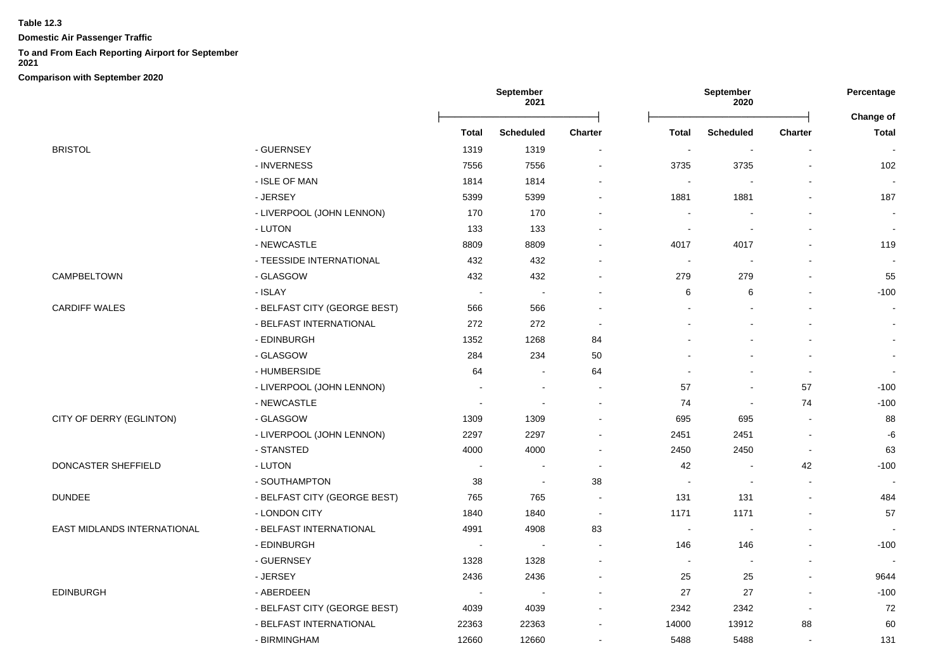**Domestic Air Passenger Traffic**

## **To and From Each Reporting Airport for September**

**2021**

|                                    |                              |                          | September<br>2021        |                          | September<br>2020        |                  | Percentage               |                           |
|------------------------------------|------------------------------|--------------------------|--------------------------|--------------------------|--------------------------|------------------|--------------------------|---------------------------|
|                                    |                              | <b>Total</b>             | <b>Scheduled</b>         | <b>Charter</b>           | Total                    | <b>Scheduled</b> | <b>Charter</b>           | Change of<br><b>Total</b> |
| <b>BRISTOL</b>                     | - GUERNSEY                   | 1319                     | 1319                     |                          |                          |                  | $\blacksquare$           |                           |
|                                    | - INVERNESS                  | 7556                     | 7556                     | $\blacksquare$           | 3735                     | 3735             | L,                       | 102                       |
|                                    | - ISLE OF MAN                | 1814                     | 1814                     |                          |                          |                  |                          | $\blacksquare$            |
|                                    | - JERSEY                     | 5399                     | 5399                     | $\sim$                   | 1881                     | 1881             | $\blacksquare$           | 187                       |
|                                    | - LIVERPOOL (JOHN LENNON)    | 170                      | 170                      |                          | $\blacksquare$           |                  | $\blacksquare$           | $\blacksquare$            |
|                                    | - LUTON                      | 133                      | 133                      |                          | $\sim$                   |                  | $\blacksquare$           | $\blacksquare$            |
|                                    | - NEWCASTLE                  | 8809                     | 8809                     |                          | 4017                     | 4017             | $\sim$                   | 119                       |
|                                    | - TEESSIDE INTERNATIONAL     | 432                      | 432                      |                          | $\overline{\phantom{a}}$ |                  | $\blacksquare$           | $\blacksquare$            |
| CAMPBELTOWN                        | - GLASGOW                    | 432                      | 432                      |                          | 279                      | 279              |                          | 55                        |
|                                    | - ISLAY                      | $\overline{\phantom{a}}$ | $\sim$                   |                          | 6                        | 6                | -                        | $-100$                    |
| <b>CARDIFF WALES</b>               | - BELFAST CITY (GEORGE BEST) | 566                      | 566                      |                          |                          |                  |                          | $\blacksquare$            |
|                                    | - BELFAST INTERNATIONAL      | 272                      | 272                      | $\overline{\phantom{a}}$ |                          |                  | $\overline{\phantom{a}}$ | $\blacksquare$            |
|                                    | - EDINBURGH                  | 1352                     | 1268                     | 84                       |                          |                  | $\blacksquare$           | $\blacksquare$            |
|                                    | - GLASGOW                    | 284                      | 234                      | 50                       |                          |                  | $\mathbf{r}$             | $\blacksquare$            |
|                                    | - HUMBERSIDE                 | 64                       | $\overline{a}$           | 64                       |                          |                  | $\sim$                   | $\blacksquare$            |
|                                    | - LIVERPOOL (JOHN LENNON)    |                          | $\overline{\phantom{a}}$ |                          | 57                       |                  | 57                       | $-100$                    |
|                                    | - NEWCASTLE                  | $\overline{a}$           |                          | $\sim$                   | 74                       | $\sim$           | 74                       | $-100$                    |
| CITY OF DERRY (EGLINTON)           | - GLASGOW                    | 1309                     | 1309                     | $\blacksquare$           | 695                      | 695              | $\blacksquare$           | 88                        |
|                                    | - LIVERPOOL (JOHN LENNON)    | 2297                     | 2297                     |                          | 2451                     | 2451             | $\blacksquare$           | -6                        |
|                                    | - STANSTED                   | 4000                     | 4000                     | $\sim$                   | 2450                     | 2450             | $\sim$                   | 63                        |
| DONCASTER SHEFFIELD                | - LUTON                      | $\blacksquare$           | $\blacksquare$           | $\blacksquare$           | 42                       |                  | 42                       | $-100$                    |
|                                    | - SOUTHAMPTON                | 38                       | $\sim$                   | 38                       | $\overline{\phantom{a}}$ |                  | $\mathbf{r}$             |                           |
| <b>DUNDEE</b>                      | - BELFAST CITY (GEORGE BEST) | 765                      | 765                      | $\sim$                   | 131                      | 131              | $\mathbf{r}$             | 484                       |
|                                    | - LONDON CITY                | 1840                     | 1840                     | $\sim$                   | 1171                     | 1171             | $\mathbf{r}$             | 57                        |
| <b>EAST MIDLANDS INTERNATIONAL</b> | - BELFAST INTERNATIONAL      | 4991                     | 4908                     | 83                       | $\sim$                   |                  | $\blacksquare$           |                           |
|                                    | - EDINBURGH                  | $\overline{\phantom{a}}$ |                          | $\sim$                   | 146                      | 146              | $\blacksquare$           | $-100$                    |
|                                    | - GUERNSEY                   | 1328                     | 1328                     |                          | $\overline{\phantom{a}}$ |                  | $\overline{a}$           |                           |
|                                    | - JERSEY                     | 2436                     | 2436                     | $\sim$                   | 25                       | 25               | $\blacksquare$           | 9644                      |
| <b>EDINBURGH</b>                   | - ABERDEEN                   | $\blacksquare$           | $\overline{\phantom{a}}$ | $\blacksquare$           | 27                       | 27               | $\blacksquare$           | $-100$                    |
|                                    | - BELFAST CITY (GEORGE BEST) | 4039                     | 4039                     | $\blacksquare$           | 2342                     | 2342             | $\blacksquare$           | 72                        |
|                                    | - BELFAST INTERNATIONAL      | 22363                    | 22363                    |                          | 14000                    | 13912            | 88                       | 60                        |
|                                    | - BIRMINGHAM                 | 12660                    | 12660                    |                          | 5488                     | 5488             |                          | 131                       |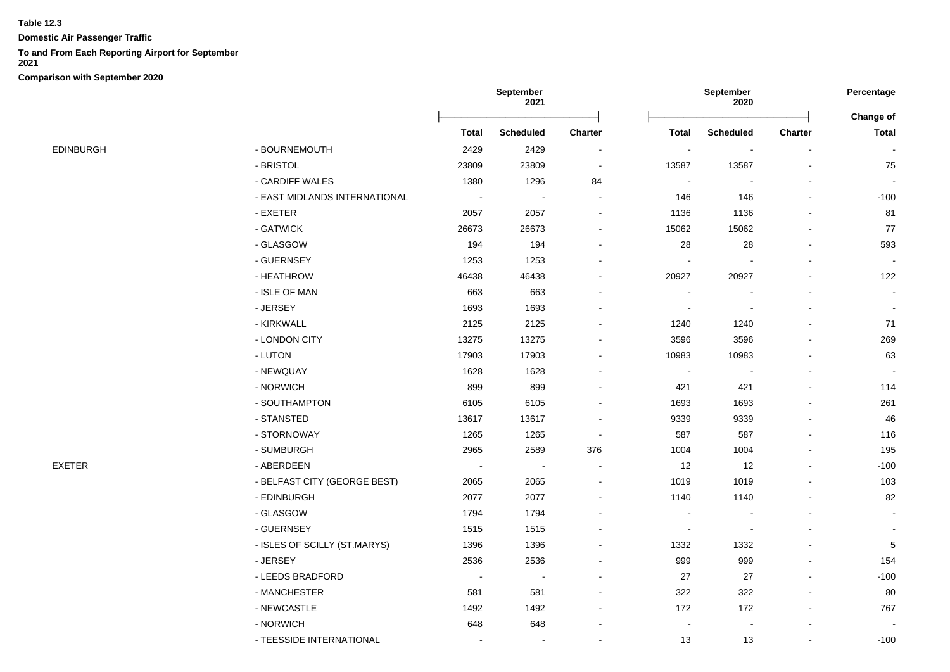**Domestic Air Passenger Traffic**

## **To and From Each Reporting Airport for September**

**2021**

|           |                               | September<br>2021 |                  | September<br>2020        |                |                  |         |                           |
|-----------|-------------------------------|-------------------|------------------|--------------------------|----------------|------------------|---------|---------------------------|
|           |                               | <b>Total</b>      | <b>Scheduled</b> | <b>Charter</b>           | <b>Total</b>   | <b>Scheduled</b> | Charter | Change of<br><b>Total</b> |
| EDINBURGH | - BOURNEMOUTH                 | 2429              | 2429             | $\blacksquare$           |                |                  |         |                           |
|           | - BRISTOL                     | 23809             | 23809            | $\overline{\phantom{a}}$ | 13587          | 13587            |         | 75                        |
|           | - CARDIFF WALES               | 1380              | 1296             | 84                       | $\blacksquare$ |                  |         | $\sim$                    |
|           | - EAST MIDLANDS INTERNATIONAL | $\sim$            | $\blacksquare$   | $\blacksquare$           | 146            | 146              |         | $-100$                    |
|           | - EXETER                      | 2057              | 2057             |                          | 1136           | 1136             |         | 81                        |
|           | - GATWICK                     | 26673             | 26673            |                          | 15062          | 15062            |         | 77                        |
|           | - GLASGOW                     | 194               | 194              |                          | 28             | 28               |         | 593                       |
|           | - GUERNSEY                    | 1253              | 1253             |                          |                |                  |         |                           |
|           | - HEATHROW                    | 46438             | 46438            |                          | 20927          | 20927            |         | 122                       |
|           | - ISLE OF MAN                 | 663               | 663              |                          |                |                  |         | $\blacksquare$            |
|           | - JERSEY                      | 1693              | 1693             |                          |                |                  |         | $\blacksquare$            |
|           | - KIRKWALL                    | 2125              | 2125             |                          | 1240           | 1240             |         | 71                        |
|           | - LONDON CITY                 | 13275             | 13275            |                          | 3596           | 3596             |         | 269                       |
|           | - LUTON                       | 17903             | 17903            |                          | 10983          | 10983            |         | 63                        |
|           | - NEWQUAY                     | 1628              | 1628             |                          |                |                  |         |                           |
|           | - NORWICH                     | 899               | 899              |                          | 421            | 421              |         | 114                       |
|           | - SOUTHAMPTON                 | 6105              | 6105             |                          | 1693           | 1693             |         | 261                       |
|           | - STANSTED                    | 13617             | 13617            |                          | 9339           | 9339             |         | 46                        |
|           | - STORNOWAY                   | 1265              | 1265             |                          | 587            | 587              |         | 116                       |
|           | - SUMBURGH                    | 2965              | 2589             | 376                      | 1004           | 1004             |         | 195                       |
| EXETER    | - ABERDEEN                    | $\sim$            | $\sim$           |                          | 12             | 12               |         | $-100$                    |
|           | - BELFAST CITY (GEORGE BEST)  | 2065              | 2065             |                          | 1019           | 1019             |         | 103                       |
|           | - EDINBURGH                   | 2077              | 2077             |                          | 1140           | 1140             |         | 82                        |
|           | - GLASGOW                     | 1794              | 1794             |                          |                |                  |         |                           |
|           | - GUERNSEY                    | 1515              | 1515             |                          | $\blacksquare$ | $\blacksquare$   |         |                           |
|           | - ISLES OF SCILLY (ST.MARYS)  | 1396              | 1396             |                          | 1332           | 1332             |         | 5                         |
|           | - JERSEY                      | 2536              | 2536             |                          | 999            | 999              |         | 154                       |
|           | - LEEDS BRADFORD              | $\sim$            | $\blacksquare$   |                          | 27             | 27               |         | $-100$                    |
|           | - MANCHESTER                  | 581               | 581              |                          | 322            | 322              |         | 80                        |
|           | - NEWCASTLE                   | 1492              | 1492             |                          | 172            | 172              |         | 767                       |
|           | - NORWICH                     | 648               | 648              |                          |                |                  |         |                           |
|           | - TEESSIDE INTERNATIONAL      |                   |                  |                          | 13             | 13               |         | $-100$                    |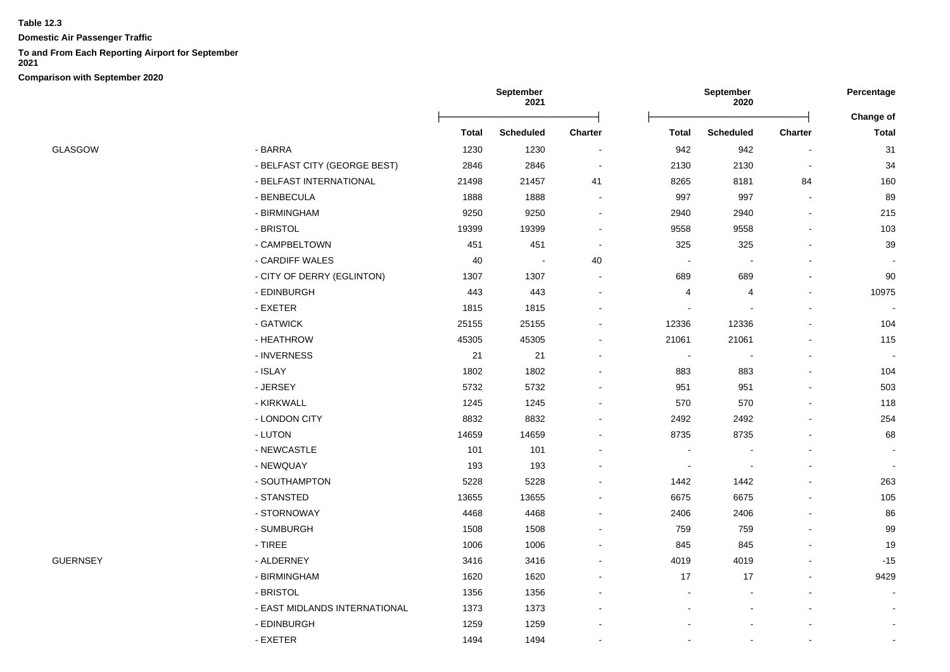**Domestic Air Passenger Traffic**

## **To and From Each Reporting Airport for September**

**2021**

|                 |                               | September<br>2021 |                  |                | September<br>2020 |                          |         |                                  |
|-----------------|-------------------------------|-------------------|------------------|----------------|-------------------|--------------------------|---------|----------------------------------|
|                 |                               | <b>Total</b>      | <b>Scheduled</b> | <b>Charter</b> |                   | <b>Scheduled</b>         | Charter | <b>Change of</b><br><b>Total</b> |
|                 |                               |                   |                  |                | <b>Total</b>      |                          |         |                                  |
| GLASGOW         | - BARRA                       | 1230              | 1230             | $\sim$         | 942               | 942                      |         | 31                               |
|                 | - BELFAST CITY (GEORGE BEST)  | 2846              | 2846             |                | 2130              | 2130                     |         | 34                               |
|                 | - BELFAST INTERNATIONAL       | 21498             | 21457            | 41             | 8265              | 8181                     | 84      | 160                              |
|                 | - BENBECULA                   | 1888              | 1888             |                | 997               | 997                      |         | 89                               |
|                 | - BIRMINGHAM                  | 9250              | 9250             | $\blacksquare$ | 2940              | 2940                     |         | 215                              |
|                 | - BRISTOL                     | 19399             | 19399            |                | 9558              | 9558                     |         | 103                              |
|                 | - CAMPBELTOWN                 | 451               | 451              |                | 325               | 325                      |         | 39                               |
|                 | - CARDIFF WALES               | 40                | ÷,               | 40             |                   | $\overline{\phantom{a}}$ |         |                                  |
|                 | - CITY OF DERRY (EGLINTON)    | 1307              | 1307             |                | 689               | 689                      |         | 90                               |
|                 | - EDINBURGH                   | 443               | 443              |                | 4                 | 4                        |         | 10975                            |
|                 | - EXETER                      | 1815              | 1815             |                |                   |                          |         |                                  |
|                 | - GATWICK                     | 25155             | 25155            | $\sim$         | 12336             | 12336                    |         | 104                              |
|                 | - HEATHROW                    | 45305             | 45305            | $\blacksquare$ | 21061             | 21061                    |         | 115                              |
|                 | - INVERNESS                   | 21                | 21               |                | $\sim$            | $\sim$                   |         |                                  |
|                 | - ISLAY                       | 1802              | 1802             |                | 883               | 883                      |         | 104                              |
|                 | - JERSEY                      | 5732              | 5732             |                | 951               | 951                      |         | 503                              |
|                 | - KIRKWALL                    | 1245              | 1245             |                | 570               | 570                      |         | 118                              |
|                 | - LONDON CITY                 | 8832              | 8832             |                | 2492              | 2492                     |         | 254                              |
|                 | - LUTON                       | 14659             | 14659            |                | 8735              | 8735                     |         | 68                               |
|                 | - NEWCASTLE                   | 101               | 101              |                |                   |                          |         |                                  |
|                 | - NEWQUAY                     | 193               | 193              |                |                   | $\sim$                   |         |                                  |
|                 | - SOUTHAMPTON                 | 5228              | 5228             |                | 1442              | 1442                     |         | 263                              |
|                 | - STANSTED                    | 13655             | 13655            |                | 6675              | 6675                     |         | 105                              |
|                 | - STORNOWAY                   | 4468              | 4468             |                | 2406              | 2406                     |         | 86                               |
|                 | - SUMBURGH                    | 1508              | 1508             |                | 759               | 759                      |         | 99                               |
|                 | $-$ TIREE                     | 1006              | 1006             |                | 845               | 845                      |         | 19                               |
| <b>GUERNSEY</b> | - ALDERNEY                    | 3416              | 3416             |                | 4019              | 4019                     |         | $-15$                            |
|                 | - BIRMINGHAM                  | 1620              | 1620             |                | 17                | 17                       |         | 9429                             |
|                 | - BRISTOL                     | 1356              | 1356             |                |                   |                          |         |                                  |
|                 | - EAST MIDLANDS INTERNATIONAL | 1373              | 1373             |                |                   | $\blacksquare$           |         | $\blacksquare$                   |
|                 | - EDINBURGH                   | 1259              | 1259             |                |                   |                          |         | $\blacksquare$                   |
|                 | - EXETER                      | 1494              | 1494             |                |                   |                          |         |                                  |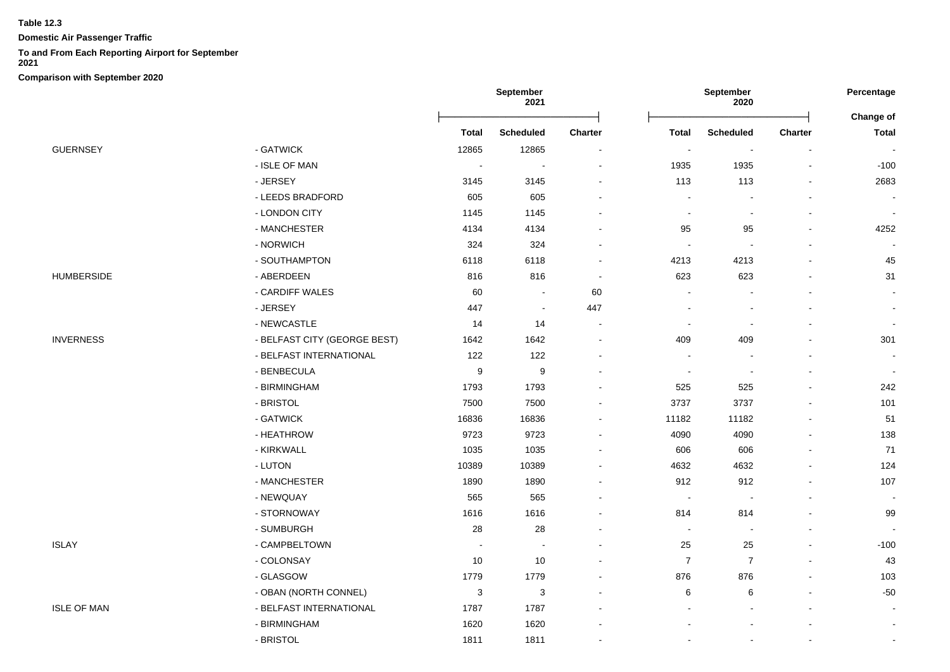**Domestic Air Passenger Traffic**

# **To and From Each Reporting Airport for September**

**2021**

|                    |                              | September<br>2021 |                  | September<br>2020 |                |                          | Percentage<br>Change of  |                          |
|--------------------|------------------------------|-------------------|------------------|-------------------|----------------|--------------------------|--------------------------|--------------------------|
|                    |                              | Total             | <b>Scheduled</b> | Charter           | <b>Total</b>   | <b>Scheduled</b>         | <b>Charter</b>           | <b>Total</b>             |
| <b>GUERNSEY</b>    | - GATWICK                    | 12865             | 12865            |                   | $\blacksquare$ | $\blacksquare$           | $\overline{\phantom{a}}$ | $\overline{\phantom{a}}$ |
|                    | - ISLE OF MAN                | $\sim$            |                  |                   | 1935           | 1935                     | $\overline{\phantom{a}}$ | $-100$                   |
|                    | - JERSEY                     | 3145              | 3145             |                   | 113            | 113                      |                          | 2683                     |
|                    | - LEEDS BRADFORD             | 605               | 605              |                   | $\blacksquare$ |                          |                          |                          |
|                    | - LONDON CITY                | 1145              | 1145             |                   | $\blacksquare$ | $\sim$                   | $\overline{\phantom{a}}$ | $\sim$                   |
|                    | - MANCHESTER                 | 4134              | 4134             |                   | 95             | 95                       |                          | 4252                     |
|                    | - NORWICH                    | 324               | 324              |                   | $\overline{a}$ | $\sim$                   |                          |                          |
|                    | - SOUTHAMPTON                | 6118              | 6118             |                   | 4213           | 4213                     |                          | 45                       |
| <b>HUMBERSIDE</b>  | - ABERDEEN                   | 816               | 816              |                   | 623            | 623                      |                          | 31                       |
|                    | - CARDIFF WALES              | 60                |                  | 60                | $\blacksquare$ | $\overline{a}$           |                          | $\blacksquare$           |
|                    | - JERSEY                     | 447               | $\blacksquare$   | 447               |                | $\blacksquare$           |                          | $\sim$                   |
|                    | - NEWCASTLE                  | 14                | 14               |                   | $\sim$         | $\sim$                   |                          |                          |
| <b>INVERNESS</b>   | - BELFAST CITY (GEORGE BEST) | 1642              | 1642             |                   | 409            | 409                      |                          | 301                      |
|                    | - BELFAST INTERNATIONAL      | 122               | 122              |                   | $\blacksquare$ | $\blacksquare$           | $\blacksquare$           | $\blacksquare$           |
|                    | - BENBECULA                  | 9                 | 9                |                   | $\blacksquare$ | $\blacksquare$           |                          | $\sim$                   |
|                    | - BIRMINGHAM                 | 1793              | 1793             |                   | 525            | 525                      |                          | 242                      |
|                    | - BRISTOL                    | 7500              | 7500             |                   | 3737           | 3737                     |                          | 101                      |
|                    | - GATWICK                    | 16836             | 16836            |                   | 11182          | 11182                    |                          | 51                       |
|                    | - HEATHROW                   | 9723              | 9723             |                   | 4090           | 4090                     |                          | 138                      |
|                    | - KIRKWALL                   | 1035              | 1035             |                   | 606            | 606                      |                          | 71                       |
|                    | - LUTON                      | 10389             | 10389            |                   | 4632           | 4632                     |                          | 124                      |
|                    | - MANCHESTER                 | 1890              | 1890             |                   | 912            | 912                      |                          | 107                      |
|                    | - NEWQUAY                    | 565               | 565              |                   | $\blacksquare$ | $\blacksquare$           |                          |                          |
|                    | - STORNOWAY                  | 1616              | 1616             |                   | 814            | 814                      |                          | 99                       |
|                    | - SUMBURGH                   | 28                | 28               |                   | $\sim$         | $\overline{\phantom{a}}$ |                          |                          |
| <b>ISLAY</b>       | - CAMPBELTOWN                |                   |                  |                   | 25             | 25                       |                          | $-100$                   |
|                    | - COLONSAY                   | 10                | 10               |                   | $\overline{7}$ | $\overline{7}$           |                          | 43                       |
|                    | - GLASGOW                    | 1779              | 1779             |                   | 876            | 876                      |                          | 103                      |
|                    | - OBAN (NORTH CONNEL)        | 3                 | 3                |                   | 6              | 6                        |                          | $-50$                    |
| <b>ISLE OF MAN</b> | - BELFAST INTERNATIONAL      | 1787              | 1787             |                   |                |                          |                          | $\sim$                   |
|                    | - BIRMINGHAM                 | 1620              | 1620             |                   |                |                          |                          | $\sim$                   |
|                    | - BRISTOL                    | 1811              | 1811             |                   | $\overline{a}$ | $\blacksquare$           | $\sim$                   | $\sim$                   |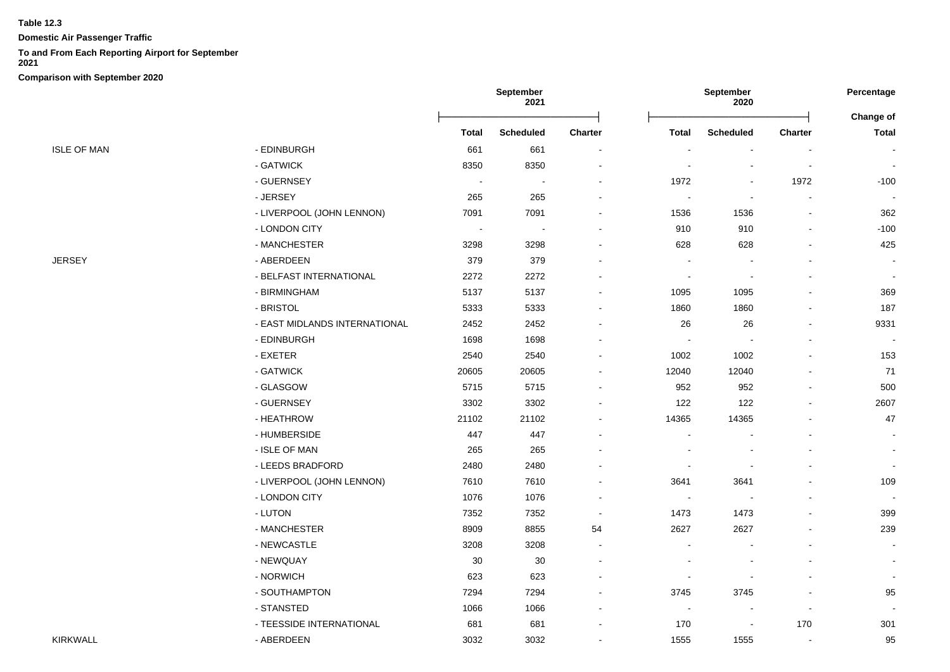**Domestic Air Passenger Traffic**

## **To and From Each Reporting Airport for September**

**2021**

|                    |                               | September<br>2021 |                          | September<br>2020        |                          |                  | Percentage               |                                  |
|--------------------|-------------------------------|-------------------|--------------------------|--------------------------|--------------------------|------------------|--------------------------|----------------------------------|
|                    |                               | <b>Total</b>      | <b>Scheduled</b>         | Charter                  | <b>Total</b>             | <b>Scheduled</b> | Charter                  | <b>Change of</b><br><b>Total</b> |
| <b>ISLE OF MAN</b> | - EDINBURGH                   | 661               | 661                      | $\blacksquare$           |                          | $\sim$           |                          |                                  |
|                    | - GATWICK                     | 8350              | 8350                     |                          |                          |                  |                          | $\overline{\phantom{a}}$         |
|                    | - GUERNSEY                    | $\sim$            | $\overline{\phantom{a}}$ |                          | 1972                     |                  | 1972                     | $-100$                           |
|                    | - JERSEY                      | 265               | 265                      |                          |                          | $\sim$           |                          |                                  |
|                    | - LIVERPOOL (JOHN LENNON)     | 7091              | 7091                     |                          | 1536                     | 1536             |                          | 362                              |
|                    | - LONDON CITY                 | $\sim$            | $\overline{\phantom{a}}$ |                          | 910                      | 910              |                          | $-100$                           |
|                    | - MANCHESTER                  | 3298              | 3298                     |                          | 628                      | 628              |                          | 425                              |
| JERSEY             | - ABERDEEN                    | 379               | 379                      |                          |                          |                  |                          |                                  |
|                    | - BELFAST INTERNATIONAL       | 2272              | 2272                     |                          | ÷,                       |                  |                          |                                  |
|                    | - BIRMINGHAM                  | 5137              | 5137                     |                          | 1095                     | 1095             |                          | 369                              |
|                    | - BRISTOL                     | 5333              | 5333                     |                          | 1860                     | 1860             |                          | 187                              |
|                    | - EAST MIDLANDS INTERNATIONAL | 2452              | 2452                     | $\overline{\phantom{a}}$ | 26                       | 26               |                          | 9331                             |
|                    | - EDINBURGH                   | 1698              | 1698                     |                          |                          |                  |                          | $\overline{\phantom{a}}$         |
|                    | - EXETER                      | 2540              | 2540                     |                          | 1002                     | 1002             |                          | 153                              |
|                    | - GATWICK                     | 20605             | 20605                    |                          | 12040                    | 12040            |                          | 71                               |
|                    | - GLASGOW                     | 5715              | 5715                     |                          | 952                      | 952              |                          | 500                              |
|                    | - GUERNSEY                    | 3302              | 3302                     |                          | 122                      | 122              |                          | 2607                             |
|                    | - HEATHROW                    | 21102             | 21102                    |                          | 14365                    | 14365            |                          | 47                               |
|                    | - HUMBERSIDE                  | 447               | 447                      |                          |                          |                  |                          |                                  |
|                    | - ISLE OF MAN                 | 265               | 265                      |                          |                          |                  |                          | $\blacksquare$                   |
|                    | - LEEDS BRADFORD              | 2480              | 2480                     |                          |                          |                  |                          | $\sim$                           |
|                    | - LIVERPOOL (JOHN LENNON)     | 7610              | 7610                     |                          | 3641                     | 3641             |                          | 109                              |
|                    | - LONDON CITY                 | 1076              | 1076                     |                          | $\overline{\phantom{a}}$ |                  |                          |                                  |
|                    | - LUTON                       | 7352              | 7352                     | $\overline{\phantom{a}}$ | 1473                     | 1473             |                          | 399                              |
|                    | - MANCHESTER                  | 8909              | 8855                     | 54                       | 2627                     | 2627             |                          | 239                              |
|                    | - NEWCASTLE                   | 3208              | 3208                     | $\overline{a}$           |                          |                  |                          |                                  |
|                    | - NEWQUAY                     | 30                | 30                       | $\overline{\phantom{a}}$ |                          |                  |                          | $\blacksquare$                   |
|                    | - NORWICH                     | 623               | 623                      |                          |                          |                  |                          |                                  |
|                    | - SOUTHAMPTON                 | 7294              | 7294                     |                          | 3745                     | 3745             |                          | 95                               |
|                    | - STANSTED                    | 1066              | 1066                     | $\blacksquare$           | $\overline{\phantom{a}}$ | $\sim$           | $\overline{\phantom{a}}$ |                                  |
|                    | - TEESSIDE INTERNATIONAL      | 681               | 681                      |                          | 170                      | $\blacksquare$   | 170                      | 301                              |
| KIRKWALL           | - ABERDEEN                    | 3032              | 3032                     | $\overline{a}$           | 1555                     | 1555             | $\blacksquare$           | 95                               |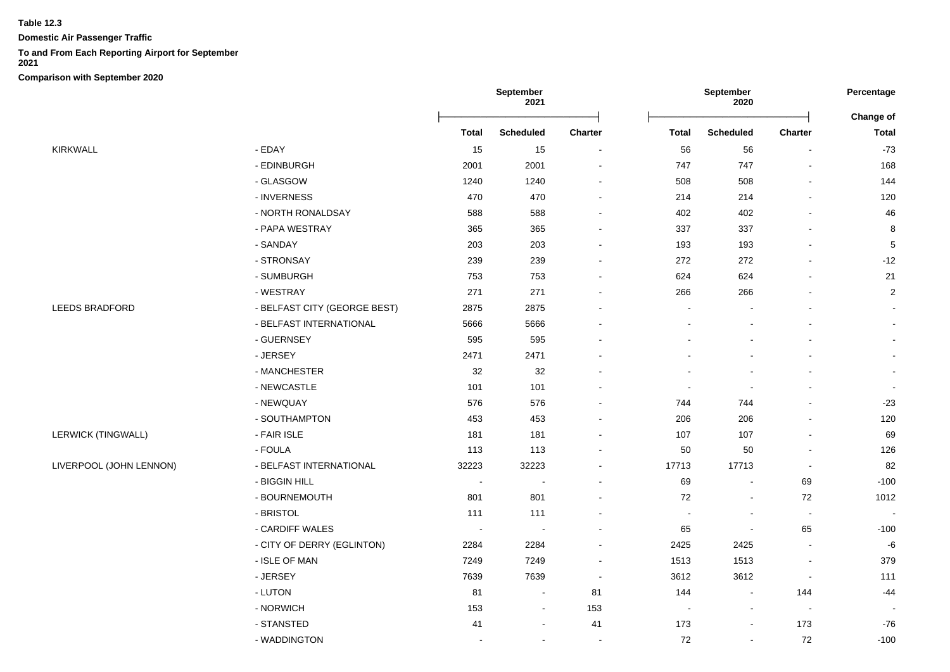**Domestic Air Passenger Traffic**

# **To and From Each Reporting Airport for September**

**2021**

|                         |                              | September<br>2021 |                  |                          | September<br>2020        |                          |                          |                                  |
|-------------------------|------------------------------|-------------------|------------------|--------------------------|--------------------------|--------------------------|--------------------------|----------------------------------|
|                         |                              | <b>Total</b>      | <b>Scheduled</b> | Charter                  | <b>Total</b>             | <b>Scheduled</b>         | Charter                  | <b>Change of</b><br><b>Total</b> |
| KIRKWALL                | - EDAY                       | 15                | 15               | $\blacksquare$           | 56                       | 56                       |                          | $-73$                            |
|                         | - EDINBURGH                  | 2001              | 2001             | $\overline{a}$           | 747                      | 747                      |                          | 168                              |
|                         | - GLASGOW                    | 1240              | 1240             |                          | 508                      | 508                      |                          | 144                              |
|                         | - INVERNESS                  | 470               | 470              |                          | 214                      | 214                      |                          | 120                              |
|                         | - NORTH RONALDSAY            | 588               | 588              |                          | 402                      | 402                      |                          | 46                               |
|                         | - PAPA WESTRAY               | 365               | 365              |                          | 337                      | 337                      |                          | 8                                |
|                         | - SANDAY                     | 203               | 203              |                          | 193                      | 193                      |                          | $\sqrt{5}$                       |
|                         | - STRONSAY                   | 239               | 239              |                          | 272                      | 272                      |                          | $-12$                            |
|                         | - SUMBURGH                   | 753               | 753              |                          | 624                      | 624                      |                          | 21                               |
|                         | - WESTRAY                    | 271               | 271              |                          | 266                      | 266                      |                          | $\boldsymbol{2}$                 |
| LEEDS BRADFORD          | - BELFAST CITY (GEORGE BEST) | 2875              | 2875             |                          | $\sim$                   |                          |                          |                                  |
|                         | - BELFAST INTERNATIONAL      | 5666              | 5666             |                          |                          |                          |                          | $\blacksquare$                   |
|                         | - GUERNSEY                   | 595               | 595              |                          |                          |                          |                          |                                  |
|                         | - JERSEY                     | 2471              | 2471             |                          |                          |                          |                          |                                  |
|                         | - MANCHESTER                 | 32                | 32               |                          |                          |                          |                          | $\blacksquare$                   |
|                         | - NEWCASTLE                  | 101               | 101              |                          | $\blacksquare$           | $\blacksquare$           |                          | $\sim$                           |
|                         | - NEWQUAY                    | 576               | 576              |                          | 744                      | 744                      |                          | $-23$                            |
|                         | - SOUTHAMPTON                | 453               | 453              |                          | 206                      | 206                      |                          | 120                              |
| LERWICK (TINGWALL)      | - FAIR ISLE                  | 181               | 181              |                          | 107                      | 107                      |                          | 69                               |
|                         | - FOULA                      | 113               | 113              |                          | 50                       | 50                       |                          | 126                              |
| LIVERPOOL (JOHN LENNON) | - BELFAST INTERNATIONAL      | 32223             | 32223            |                          | 17713                    | 17713                    | $\blacksquare$           | 82                               |
|                         | - BIGGIN HILL                | $\blacksquare$    |                  |                          | 69                       | $\blacksquare$           | 69                       | $-100$                           |
|                         | - BOURNEMOUTH                | 801               | 801              | $\blacksquare$           | 72                       | $\blacksquare$           | 72                       | 1012                             |
|                         | - BRISTOL                    | 111               | 111              | $\overline{\phantom{a}}$ | $\overline{\phantom{a}}$ | $\blacksquare$           | $\overline{\phantom{a}}$ | $\overline{\phantom{a}}$         |
|                         | - CARDIFF WALES              | $\sim$            | $\blacksquare$   |                          | 65                       | $\blacksquare$           | 65                       | $-100$                           |
|                         | - CITY OF DERRY (EGLINTON)   | 2284              | 2284             |                          | 2425                     | 2425                     | $\blacksquare$           | $-6$                             |
|                         | - ISLE OF MAN                | 7249              | 7249             |                          | 1513                     | 1513                     |                          | 379                              |
|                         | - JERSEY                     | 7639              | 7639             | $\sim$                   | 3612                     | 3612                     | $\blacksquare$           | 111                              |
|                         | - LUTON                      | 81                | $\blacksquare$   | 81                       | 144                      | $\blacksquare$           | 144                      | $-44$                            |
|                         | - NORWICH                    | 153               | $\blacksquare$   | 153                      | $\blacksquare$           | $\overline{\phantom{a}}$ | $\blacksquare$           |                                  |
|                         | - STANSTED                   | 41                | $\sim$           | 41                       | 173                      | $\blacksquare$           | 173                      | $-76$                            |
|                         | - WADDINGTON                 |                   | $\blacksquare$   | $\overline{\phantom{a}}$ | 72                       | $\blacksquare$           | 72                       | $-100$                           |
|                         |                              |                   |                  |                          |                          |                          |                          |                                  |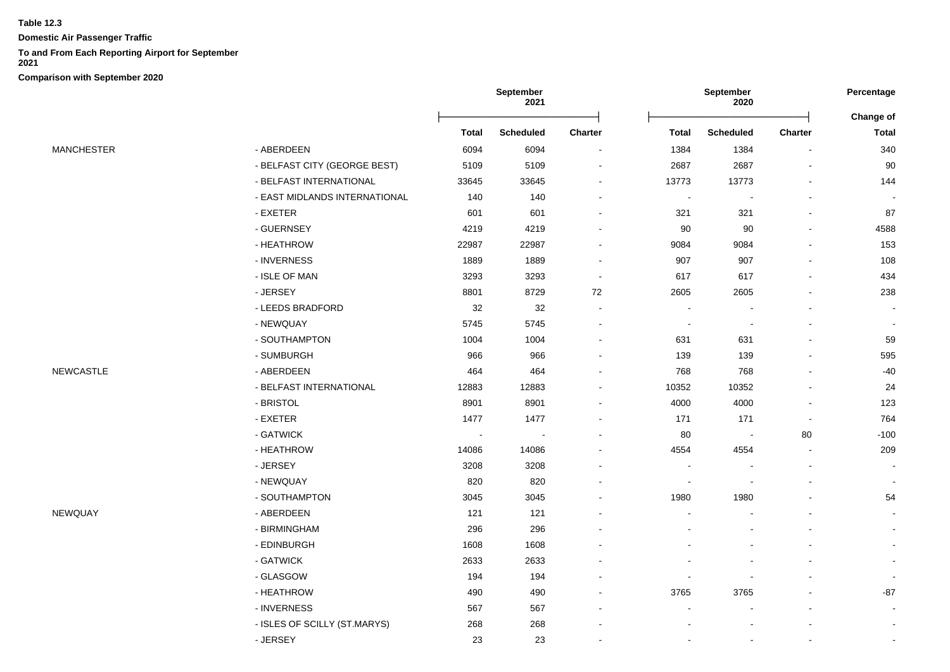**Domestic Air Passenger Traffic**

## **To and From Each Reporting Airport for September**

**2021**

```
Comparison with September 2020
```

|                   |                               | September<br>2021 |                  | September<br>2020 |                |                  | Percentage     |                           |
|-------------------|-------------------------------|-------------------|------------------|-------------------|----------------|------------------|----------------|---------------------------|
|                   |                               |                   |                  | Charter           |                |                  |                | Change of<br><b>Total</b> |
|                   |                               | <b>Total</b>      | <b>Scheduled</b> |                   | <b>Total</b>   | <b>Scheduled</b> | <b>Charter</b> |                           |
| <b>MANCHESTER</b> | - ABERDEEN                    | 6094              | 6094             |                   | 1384           | 1384             |                | 340                       |
|                   | - BELFAST CITY (GEORGE BEST)  | 5109              | 5109             |                   | 2687           | 2687             |                | 90                        |
|                   | - BELFAST INTERNATIONAL       | 33645             | 33645            |                   | 13773          | 13773            |                | 144                       |
|                   | - EAST MIDLANDS INTERNATIONAL | 140               | 140              |                   | $\blacksquare$ | $\blacksquare$   |                |                           |
|                   | - EXETER                      | 601               | 601              |                   | 321            | 321              |                | 87                        |
|                   | - GUERNSEY                    | 4219              | 4219             |                   | 90             | 90               |                | 4588                      |
|                   | - HEATHROW                    | 22987             | 22987            |                   | 9084           | 9084             |                | 153                       |
|                   | - INVERNESS                   | 1889              | 1889             |                   | 907            | 907              |                | 108                       |
|                   | - ISLE OF MAN                 | 3293              | 3293             |                   | 617            | 617              |                | 434                       |
|                   | - JERSEY                      | 8801              | 8729             | 72                | 2605           | 2605             |                | 238                       |
|                   | - LEEDS BRADFORD              | 32                | 32               |                   |                |                  |                |                           |
|                   | - NEWQUAY                     | 5745              | 5745             |                   | $\blacksquare$ | $\blacksquare$   |                | $\blacksquare$            |
|                   | - SOUTHAMPTON                 | 1004              | 1004             |                   | 631            | 631              |                | 59                        |
|                   | - SUMBURGH                    | 966               | 966              |                   | 139            | 139              |                | 595                       |
| NEWCASTLE         | - ABERDEEN                    | 464               | 464              |                   | 768            | 768              |                | $-40$                     |
|                   | - BELFAST INTERNATIONAL       | 12883             | 12883            |                   | 10352          | 10352            |                | 24                        |
|                   | - BRISTOL                     | 8901              | 8901             |                   | 4000           | 4000             |                | 123                       |
|                   | - EXETER                      | 1477              | 1477             |                   | 171            | 171              |                | 764                       |
|                   | - GATWICK                     |                   |                  |                   | 80             | $\sim$           | 80             | $-100$                    |
|                   | - HEATHROW                    | 14086             | 14086            |                   | 4554           | 4554             | $\blacksquare$ | 209                       |
|                   | - JERSEY                      | 3208              | 3208             |                   |                |                  |                |                           |
|                   | - NEWQUAY                     | 820               | 820              |                   |                |                  |                |                           |
|                   | - SOUTHAMPTON                 | 3045              | 3045             |                   | 1980           | 1980             |                | 54                        |
| NEWQUAY           | - ABERDEEN                    | 121               | 121              |                   |                |                  |                |                           |
|                   | - BIRMINGHAM                  | 296               | 296              |                   |                |                  |                |                           |
|                   | - EDINBURGH                   | 1608              | 1608             |                   |                |                  |                |                           |
|                   | - GATWICK                     | 2633              | 2633             |                   |                |                  |                |                           |
|                   | - GLASGOW                     | 194               | 194              |                   |                |                  |                |                           |
|                   | - HEATHROW                    | 490               | 490              |                   | 3765           | 3765             |                | $-87$                     |
|                   | - INVERNESS                   | 567               | 567              |                   |                |                  |                |                           |
|                   | - ISLES OF SCILLY (ST.MARYS)  | 268               | 268              |                   |                |                  |                | $\overline{\phantom{a}}$  |
|                   | - JERSEY                      | 23                | 23               |                   |                |                  |                | $\blacksquare$            |
|                   |                               |                   |                  |                   |                |                  |                |                           |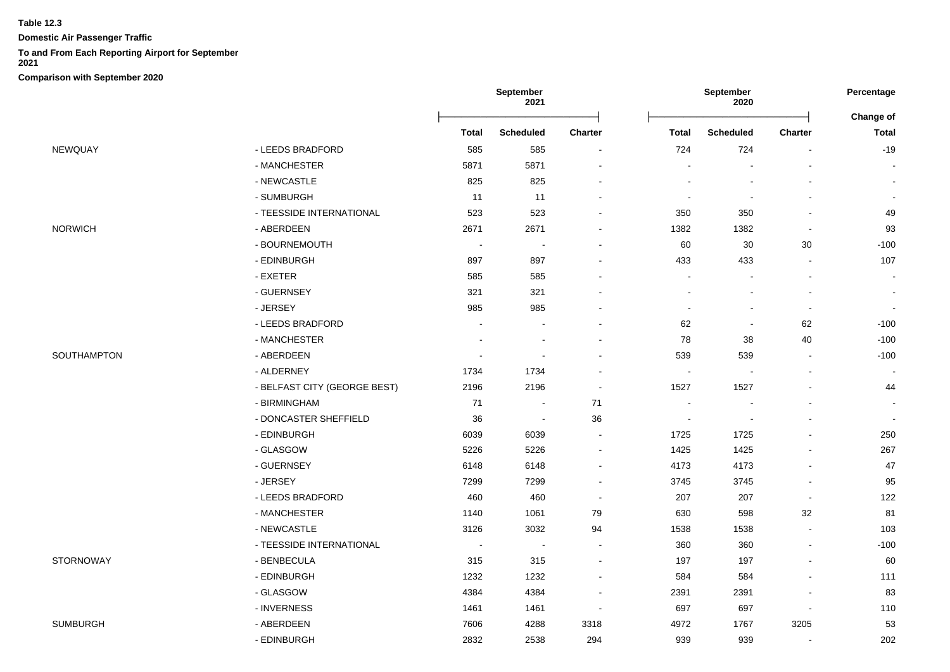**Domestic Air Passenger Traffic**

#### **To and From Each Reporting Airport for September**

**2021**

|                |                              | <b>September</b><br>2021 |                          |                          |              | September<br>2020 |                          | Percentage<br>Change of |
|----------------|------------------------------|--------------------------|--------------------------|--------------------------|--------------|-------------------|--------------------------|-------------------------|
|                |                              | <b>Total</b>             | <b>Scheduled</b>         | Charter                  | <b>Total</b> | <b>Scheduled</b>  | Charter                  | <b>Total</b>            |
| NEWQUAY        | - LEEDS BRADFORD             | 585                      | 585                      |                          | 724          | 724               |                          | $-19$                   |
|                | - MANCHESTER                 | 5871                     | 5871                     |                          |              |                   |                          |                         |
|                | - NEWCASTLE                  | 825                      | 825                      |                          |              |                   |                          |                         |
|                | - SUMBURGH                   | 11                       | 11                       |                          |              |                   |                          |                         |
|                | - TEESSIDE INTERNATIONAL     | 523                      | 523                      |                          | 350          | 350               |                          | 49                      |
| <b>NORWICH</b> | - ABERDEEN                   | 2671                     | 2671                     |                          | 1382         | 1382              | $\overline{\phantom{a}}$ | 93                      |
|                | - BOURNEMOUTH                | $\blacksquare$           | $\blacksquare$           |                          | 60           | $30\,$            | 30                       | $-100$                  |
|                | - EDINBURGH                  | 897                      | 897                      |                          | 433          | 433               | $\overline{a}$           | 107                     |
|                | - EXETER                     | 585                      | 585                      |                          |              |                   |                          |                         |
|                | - GUERNSEY                   | 321                      | 321                      |                          |              |                   | $\blacksquare$           |                         |
|                | - JERSEY                     | 985                      | 985                      |                          |              |                   | $\overline{\phantom{a}}$ |                         |
|                | - LEEDS BRADFORD             |                          |                          |                          | 62           |                   | 62                       | $-100$                  |
|                | - MANCHESTER                 |                          |                          |                          | 78           | 38                | 40                       | $-100$                  |
| SOUTHAMPTON    | - ABERDEEN                   | $\overline{\phantom{a}}$ | $\sim$                   |                          | 539          | 539               | $\overline{\phantom{a}}$ | $-100$                  |
|                | - ALDERNEY                   | 1734                     | 1734                     |                          | $\sim$       |                   | $\blacksquare$           |                         |
|                | - BELFAST CITY (GEORGE BEST) | 2196                     | 2196                     | $\overline{\phantom{a}}$ | 1527         | 1527              |                          | 44                      |
|                | - BIRMINGHAM                 | 71                       |                          | 71                       |              |                   |                          |                         |
|                | - DONCASTER SHEFFIELD        | 36                       | $\blacksquare$           | 36                       |              |                   | $\overline{a}$           |                         |
|                | - EDINBURGH                  | 6039                     | 6039                     |                          | 1725         | 1725              |                          | 250                     |
|                | - GLASGOW                    | 5226                     | 5226                     |                          | 1425         | 1425              |                          | 267                     |
|                | - GUERNSEY                   | 6148                     | 6148                     |                          | 4173         | 4173              | $\overline{a}$           | 47                      |
|                | - JERSEY                     | 7299                     | 7299                     |                          | 3745         | 3745              |                          | 95                      |
|                | - LEEDS BRADFORD             | 460                      | 460                      |                          | 207          | 207               | $\blacksquare$           | 122                     |
|                | - MANCHESTER                 | 1140                     | 1061                     | 79                       | 630          | 598               | 32                       | 81                      |
|                | - NEWCASTLE                  | 3126                     | 3032                     | 94                       | 1538         | 1538              |                          | 103                     |
|                | - TEESSIDE INTERNATIONAL     | $\overline{\phantom{a}}$ | $\overline{\phantom{a}}$ |                          | 360          | 360               |                          | $-100$                  |
| STORNOWAY      | - BENBECULA                  | 315                      | 315                      |                          | 197          | 197               |                          | 60                      |
|                | - EDINBURGH                  | 1232                     | 1232                     |                          | 584          | 584               |                          | 111                     |
|                | - GLASGOW                    | 4384                     | 4384                     | $\overline{\phantom{a}}$ | 2391         | 2391              | $\blacksquare$           | 83                      |
|                | - INVERNESS                  | 1461                     | 1461                     | $\overline{\phantom{a}}$ | 697          | 697               | $\overline{a}$           | 110                     |
| SUMBURGH       | - ABERDEEN                   | 7606                     | 4288                     | 3318                     | 4972         | 1767              | 3205                     | 53                      |
|                | - EDINBURGH                  | 2832                     | 2538                     | 294                      | 939          | 939               | $\blacksquare$           | 202                     |